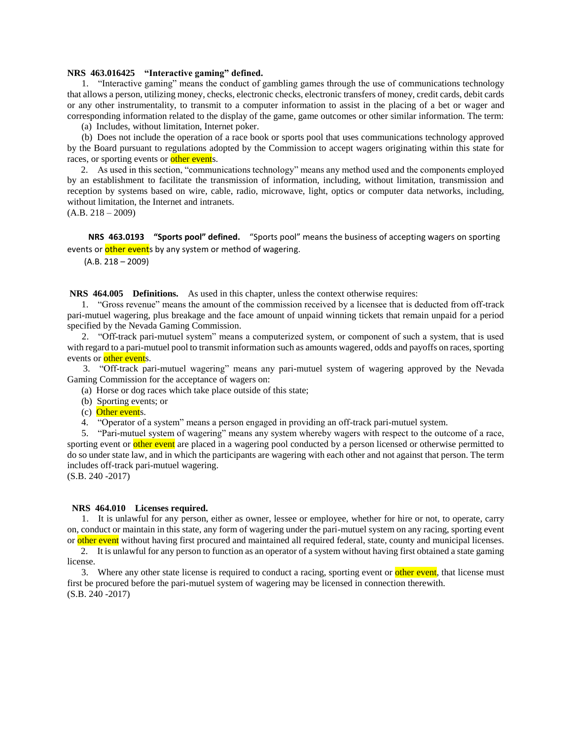#### **NRS 463.016425 "Interactive gaming" defined.**

 1. "Interactive gaming" means the conduct of gambling games through the use of communications technology that allows a person, utilizing money, checks, electronic checks, electronic transfers of money, credit cards, debit cards or any other instrumentality, to transmit to a computer information to assist in the placing of a bet or wager and corresponding information related to the display of the game, game outcomes or other similar information. The term:

(a) Includes, without limitation, Internet poker.

 (b) Does not include the operation of a race book or sports pool that uses communications technology approved by the Board pursuant to regulations adopted by the Commission to accept wagers originating within this state for races, or sporting events or other events.

 2. As used in this section, "communications technology" means any method used and the components employed by an establishment to facilitate the transmission of information, including, without limitation, transmission and reception by systems based on wire, cable, radio, microwave, light, optics or computer data networks, including, without limitation, the Internet and intranets.

 $(A.B. 218 - 2009)$ 

 **NRS 463.0193 "Sports pool" defined.** "Sports pool" means the business of accepting wagers on sporting events or other events by any system or method of wagering.

(A.B. 218 – 2009)

**NRS 464.005 Definitions.** As used in this chapter, unless the context otherwise requires:

 1. "Gross revenue" means the amount of the commission received by a licensee that is deducted from off-track pari-mutuel wagering, plus breakage and the face amount of unpaid winning tickets that remain unpaid for a period specified by the Nevada Gaming Commission.

 2. "Off-track pari-mutuel system" means a computerized system, or component of such a system, that is used with regard to a pari-mutuel pool to transmit information such as amounts wagered, odds and payoffs on races, sporting events or other events.

 3. "Off-track pari-mutuel wagering" means any pari-mutuel system of wagering approved by the Nevada Gaming Commission for the acceptance of wagers on:

(a) Horse or dog races which take place outside of this state;

- (b) Sporting events; or
- (c) Other events.

4. "Operator of a system" means a person engaged in providing an off-track pari-mutuel system.

 5. "Pari-mutuel system of wagering" means any system whereby wagers with respect to the outcome of a race, sporting event or other event are placed in a wagering pool conducted by a person licensed or otherwise permitted to do so under state law, and in which the participants are wagering with each other and not against that person. The term includes off-track pari-mutuel wagering.

(S.B. 240 -2017)

#### **NRS 464.010 Licenses required.**

 1. It is unlawful for any person, either as owner, lessee or employee, whether for hire or not, to operate, carry on, conduct or maintain in this state, any form of wagering under the pari-mutuel system on any racing, sporting event or other event without having first procured and maintained all required federal, state, county and municipal licenses.

 2. It is unlawful for any person to function as an operator of a system without having first obtained a state gaming license.

3. Where any other state license is required to conduct a racing, sporting event or **other event**, that license must first be procured before the pari-mutuel system of wagering may be licensed in connection therewith. (S.B. 240 -2017)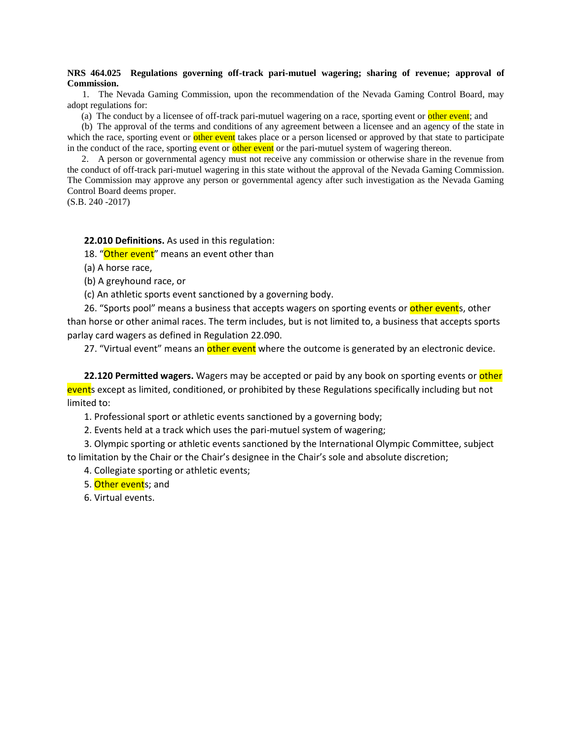## **NRS 464.025 Regulations governing off-track pari-mutuel wagering; sharing of revenue; approval of Commission.**

 1. The Nevada Gaming Commission, upon the recommendation of the Nevada Gaming Control Board, may adopt regulations for:

(a) The conduct by a licensee of off-track pari-mutuel wagering on a race, sporting event or other event; and

 (b) The approval of the terms and conditions of any agreement between a licensee and an agency of the state in which the race, sporting event or other event takes place or a person licensed or approved by that state to participate in the conduct of the race, sporting event or other event or the pari-mutuel system of wagering thereon.

 2. A person or governmental agency must not receive any commission or otherwise share in the revenue from the conduct of off-track pari-mutuel wagering in this state without the approval of the Nevada Gaming Commission. The Commission may approve any person or governmental agency after such investigation as the Nevada Gaming Control Board deems proper.

(S.B. 240 -2017)

**22.010 Definitions.** As used in this regulation:

18. "Other event" means an event other than

(a) A horse race,

(b) A greyhound race, or

(c) An athletic sports event sanctioned by a governing body.

26. "Sports pool" means a business that accepts wagers on sporting events or other events, other than horse or other animal races. The term includes, but is not limited to, a business that accepts sports parlay card wagers as defined in Regulation 22.090.

27. "Virtual event" means an *other event* where the outcome is generated by an electronic device.

**22.120 Permitted wagers.** Wagers may be accepted or paid by any book on sporting events or **other** events except as limited, conditioned, or prohibited by these Regulations specifically including but not limited to:

1. Professional sport or athletic events sanctioned by a governing body;

2. Events held at a track which uses the pari-mutuel system of wagering;

3. Olympic sporting or athletic events sanctioned by the International Olympic Committee, subject to limitation by the Chair or the Chair's designee in the Chair's sole and absolute discretion;

4. Collegiate sporting or athletic events;

5. Other events: and

6. Virtual events.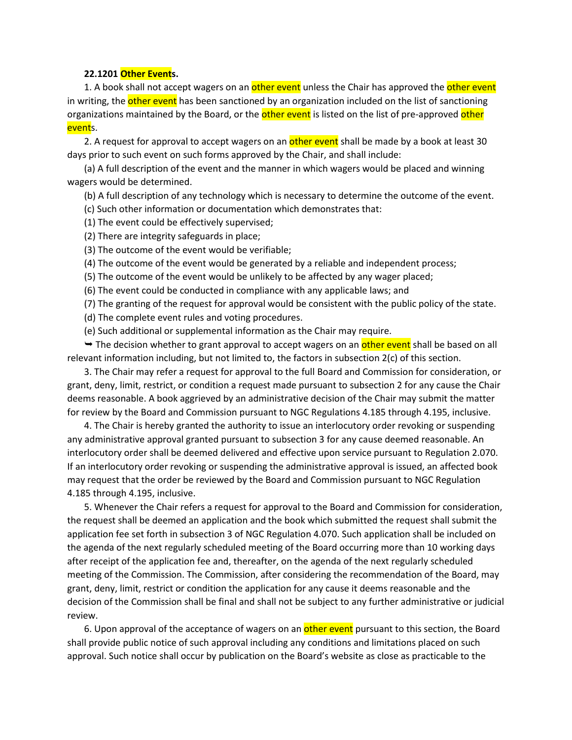### **22.1201 Other Events.**

1. A book shall not accept wagers on an other event unless the Chair has approved the other event in writing, the other event has been sanctioned by an organization included on the list of sanctioning organizations maintained by the Board, or the other event is listed on the list of pre-approved other <mark>event</mark>s.

2. A request for approval to accept wagers on an other event shall be made by a book at least 30 days prior to such event on such forms approved by the Chair, and shall include:

(a) A full description of the event and the manner in which wagers would be placed and winning wagers would be determined.

(b) A full description of any technology which is necessary to determine the outcome of the event.

(c) Such other information or documentation which demonstrates that:

(1) The event could be effectively supervised;

(2) There are integrity safeguards in place;

(3) The outcome of the event would be verifiable;

(4) The outcome of the event would be generated by a reliable and independent process;

(5) The outcome of the event would be unlikely to be affected by any wager placed;

(6) The event could be conducted in compliance with any applicable laws; and

(7) The granting of the request for approval would be consistent with the public policy of the state.

(d) The complete event rules and voting procedures.

(e) Such additional or supplemental information as the Chair may require.

 $\rightarrow$  The decision whether to grant approval to accept wagers on an other event shall be based on all relevant information including, but not limited to, the factors in subsection 2(c) of this section.

3. The Chair may refer a request for approval to the full Board and Commission for consideration, or grant, deny, limit, restrict, or condition a request made pursuant to subsection 2 for any cause the Chair deems reasonable. A book aggrieved by an administrative decision of the Chair may submit the matter for review by the Board and Commission pursuant to NGC Regulations 4.185 through 4.195, inclusive.

4. The Chair is hereby granted the authority to issue an interlocutory order revoking or suspending any administrative approval granted pursuant to subsection 3 for any cause deemed reasonable. An interlocutory order shall be deemed delivered and effective upon service pursuant to Regulation 2.070. If an interlocutory order revoking or suspending the administrative approval is issued, an affected book may request that the order be reviewed by the Board and Commission pursuant to NGC Regulation 4.185 through 4.195, inclusive.

5. Whenever the Chair refers a request for approval to the Board and Commission for consideration, the request shall be deemed an application and the book which submitted the request shall submit the application fee set forth in subsection 3 of NGC Regulation 4.070. Such application shall be included on the agenda of the next regularly scheduled meeting of the Board occurring more than 10 working days after receipt of the application fee and, thereafter, on the agenda of the next regularly scheduled meeting of the Commission. The Commission, after considering the recommendation of the Board, may grant, deny, limit, restrict or condition the application for any cause it deems reasonable and the decision of the Commission shall be final and shall not be subject to any further administrative or judicial review.

6. Upon approval of the acceptance of wagers on an other event pursuant to this section, the Board shall provide public notice of such approval including any conditions and limitations placed on such approval. Such notice shall occur by publication on the Board's website as close as practicable to the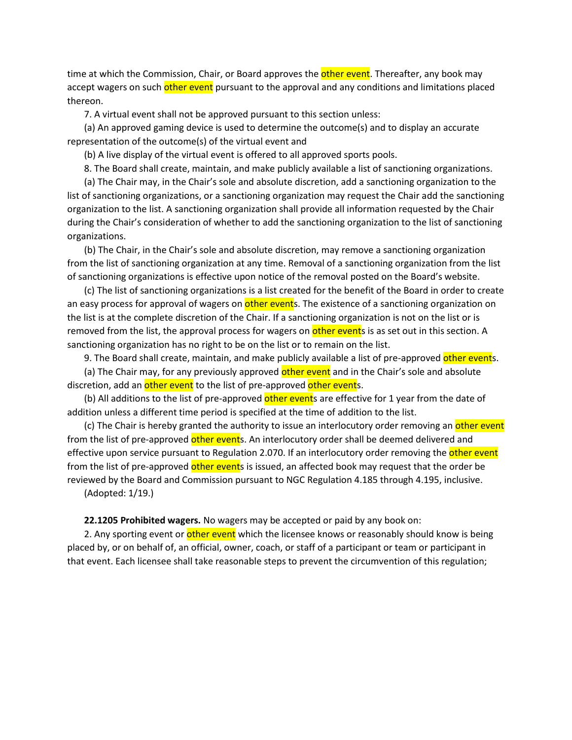time at which the Commission, Chair, or Board approves the **other event**. Thereafter, any book may accept wagers on such other event pursuant to the approval and any conditions and limitations placed thereon.

7. A virtual event shall not be approved pursuant to this section unless:

(a) An approved gaming device is used to determine the outcome(s) and to display an accurate representation of the outcome(s) of the virtual event and

(b) A live display of the virtual event is offered to all approved sports pools.

8. The Board shall create, maintain, and make publicly available a list of sanctioning organizations.

(a) The Chair may, in the Chair's sole and absolute discretion, add a sanctioning organization to the list of sanctioning organizations, or a sanctioning organization may request the Chair add the sanctioning organization to the list. A sanctioning organization shall provide all information requested by the Chair during the Chair's consideration of whether to add the sanctioning organization to the list of sanctioning organizations.

(b) The Chair, in the Chair's sole and absolute discretion, may remove a sanctioning organization from the list of sanctioning organization at any time. Removal of a sanctioning organization from the list of sanctioning organizations is effective upon notice of the removal posted on the Board's website.

(c) The list of sanctioning organizations is a list created for the benefit of the Board in order to create an easy process for approval of wagers on other events. The existence of a sanctioning organization on the list is at the complete discretion of the Chair. If a sanctioning organization is not on the list or is removed from the list, the approval process for wagers on other events is as set out in this section. A sanctioning organization has no right to be on the list or to remain on the list.

9. The Board shall create, maintain, and make publicly available a list of pre-approved other events.

(a) The Chair may, for any previously approved other event and in the Chair's sole and absolute discretion, add an other event to the list of pre-approved other events.

(b) All additions to the list of pre-approved other events are effective for 1 year from the date of addition unless a different time period is specified at the time of addition to the list.

(c) The Chair is hereby granted the authority to issue an interlocutory order removing an other event from the list of pre-approved other events. An interlocutory order shall be deemed delivered and effective upon service pursuant to Regulation 2.070. If an interlocutory order removing the other event from the list of pre-approved other events is issued, an affected book may request that the order be reviewed by the Board and Commission pursuant to NGC Regulation 4.185 through 4.195, inclusive. (Adopted: 1/19.)

**22.1205 Prohibited wagers.** No wagers may be accepted or paid by any book on:

2. Any sporting event or other event which the licensee knows or reasonably should know is being placed by, or on behalf of, an official, owner, coach, or staff of a participant or team or participant in that event. Each licensee shall take reasonable steps to prevent the circumvention of this regulation;